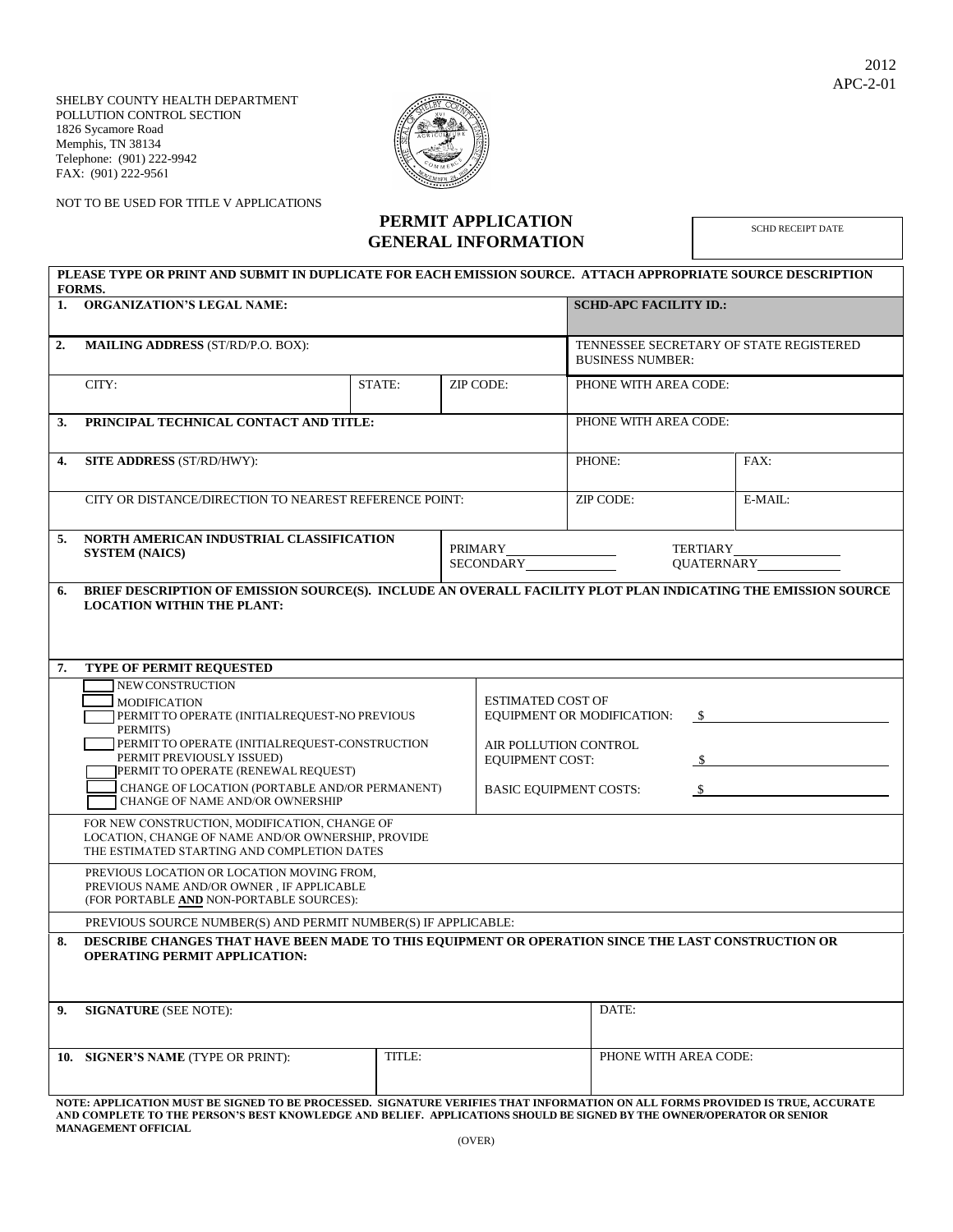SHELBY COUNTY HEALTH DEPARTMENT POLLUTION CONTROL SECTION 1826 Sycamore Road Memphis, TN 38134 Telephone: (901) 222-9942 FAX: (901) 222-9561



NOT TO BE USED FOR TITLE V APPLICATIONS

## **PERMIT APPLICATION GENERAL INFORMATION**

SCHD RECEIPT DATE

|    | PLEASE TYPE OR PRINT AND SUBMIT IN DUPLICATE FOR EACH EMISSION SOURCE. ATTACH APPROPRIATE SOURCE DESCRIPTION<br>FORMS.                                                              |                               |  |                                                                                                                                   |                                                                    |                       |         |  |  |
|----|-------------------------------------------------------------------------------------------------------------------------------------------------------------------------------------|-------------------------------|--|-----------------------------------------------------------------------------------------------------------------------------------|--------------------------------------------------------------------|-----------------------|---------|--|--|
| 1. | <b>ORGANIZATION'S LEGAL NAME:</b>                                                                                                                                                   | <b>SCHD-APC FACILITY ID.:</b> |  |                                                                                                                                   |                                                                    |                       |         |  |  |
| 2. | <b>MAILING ADDRESS (ST/RD/P.O. BOX):</b>                                                                                                                                            |                               |  |                                                                                                                                   | TENNESSEE SECRETARY OF STATE REGISTERED<br><b>BUSINESS NUMBER:</b> |                       |         |  |  |
|    | CITY:                                                                                                                                                                               | STATE:                        |  | ZIP CODE:                                                                                                                         |                                                                    | PHONE WITH AREA CODE: |         |  |  |
| 3. | PRINCIPAL TECHNICAL CONTACT AND TITLE:                                                                                                                                              |                               |  | PHONE WITH AREA CODE:                                                                                                             |                                                                    |                       |         |  |  |
| 4. | <b>SITE ADDRESS (ST/RD/HWY):</b>                                                                                                                                                    |                               |  | PHONE:                                                                                                                            |                                                                    | FAX:                  |         |  |  |
|    | CITY OR DISTANCE/DIRECTION TO NEAREST REFERENCE POINT:                                                                                                                              |                               |  |                                                                                                                                   | ZIP CODE:                                                          |                       | E-MAIL: |  |  |
| 5. | NORTH AMERICAN INDUSTRIAL CLASSIFICATION<br><b>SYSTEM (NAICS)</b>                                                                                                                   |                               |  | PRIMARY PRIMARY<br>SECONDARY THE SECONDARY                                                                                        |                                                                    |                       |         |  |  |
| 6. | BRIEF DESCRIPTION OF EMISSION SOURCE(S). INCLUDE AN OVERALL FACILITY PLOT PLAN INDICATING THE EMISSION SOURCE<br><b>LOCATION WITHIN THE PLANT:</b>                                  |                               |  |                                                                                                                                   |                                                                    |                       |         |  |  |
| 7. | TYPE OF PERMIT REQUESTED                                                                                                                                                            |                               |  |                                                                                                                                   |                                                                    |                       |         |  |  |
|    | NEW CONSTRUCTION<br><b>MODIFICATION</b><br>PERMIT TO OPERATE (INITIALREQUEST-NO PREVIOUS<br>PERMITS)<br>PERMIT TO OPERATE (INITIALREQUEST-CONSTRUCTION<br>PERMIT PREVIOUSLY ISSUED) |                               |  | <b>ESTIMATED COST OF</b><br>EQUIPMENT OR MODIFICATION:<br><sup>\$</sup><br>AIR POLLUTION CONTROL<br><b>EQUIPMENT COST:</b><br>S — |                                                                    |                       |         |  |  |
|    | PERMIT TO OPERATE (RENEWAL REQUEST)<br>CHANGE OF LOCATION (PORTABLE AND/OR PERMANENT)<br>CHANGE OF NAME AND/OR OWNERSHIP                                                            |                               |  | <b>BASIC EQUIPMENT COSTS:</b><br>S.                                                                                               |                                                                    |                       |         |  |  |
|    | FOR NEW CONSTRUCTION, MODIFICATION, CHANGE OF<br>LOCATION, CHANGE OF NAME AND/OR OWNERSHIP, PROVIDE<br>THE ESTIMATED STARTING AND COMPLETION DATES                                  |                               |  |                                                                                                                                   |                                                                    |                       |         |  |  |
|    | PREVIOUS LOCATION OR LOCATION MOVING FROM,<br>PREVIOUS NAME AND/OR OWNER, IF APPLICABLE<br>(FOR PORTABLE AND NON-PORTABLE SOURCES):                                                 |                               |  |                                                                                                                                   |                                                                    |                       |         |  |  |
|    | PREVIOUS SOURCE NUMBER(S) AND PERMIT NUMBER(S) IF APPLICABLE:                                                                                                                       |                               |  |                                                                                                                                   |                                                                    |                       |         |  |  |
| 8. | DESCRIBE CHANGES THAT HAVE BEEN MADE TO THIS EQUIPMENT OR OPERATION SINCE THE LAST CONSTRUCTION OR<br><b>OPERATING PERMIT APPLICATION:</b>                                          |                               |  |                                                                                                                                   |                                                                    |                       |         |  |  |
| 9. | <b>SIGNATURE</b> (SEE NOTE):                                                                                                                                                        |                               |  |                                                                                                                                   | DATE:                                                              |                       |         |  |  |
|    | 10. SIGNER'S NAME (TYPE OR PRINT):                                                                                                                                                  | TITLE:                        |  |                                                                                                                                   | PHONE WITH AREA CODE:                                              |                       |         |  |  |
|    | NOTE: APPLICATION MUST BE SIGNED TO BE PROCESSED. SIGNATURE VERIFIES THAT INFORMATION ON ALL FORMS PROVIDED IS TRUE, ACCURATE                                                       |                               |  |                                                                                                                                   |                                                                    |                       |         |  |  |

**AND COMPLETE TO THE PERSON'S BEST KNOWLEDGE AND BELIEF. APPLICATIONS SHOULD BE SIGNED BY THE OWNER/OPERATOR OR SENIOR MANAGEMENT OFFICIAL**